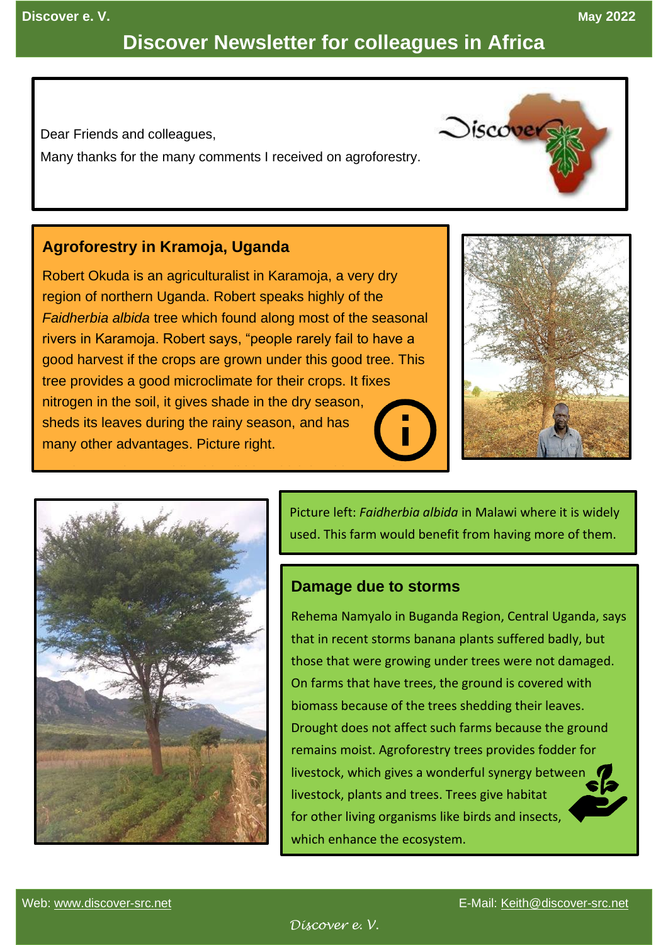# **Discover Newsletter for colleagues in Africa**

Dear Friends and colleagues,

Many thanks for the many comments I received on agroforestry.

### **Agroforestry in Kramoja, Uganda**

Robert Okuda is an agriculturalist in Karamoja, a very dry region of northern Uganda. Robert speaks highly of the *Faidherbia albida* tree which found along most of the seasonal rivers in Karamoja. Robert says, "people rarely fail to have a good harvest if the crops are grown under this good tree. This tree provides a good microclimate for their crops. It fixes nitrogen in the soil, it gives shade in the dry season, sheds its leaves during the rainy season, and has many other advantages. Picture right.





Picture left: *Faidherbia albida* in Malawi where it is widely used. This farm would benefit from having more of them.

### **Damage due to storms**

Rehema Namyalo in Buganda Region, Central Uganda, says that in recent storms banana plants suffered badly, but those that were growing under trees were not damaged. On farms that have trees, the ground is covered with biomass because of the trees shedding their leaves. Drought does not affect such farms because the ground remains moist. Agroforestry trees provides fodder for livestock, which gives a wonderful synergy between livestock, plants and trees. Trees give habitat for other living organisms like birds and insects, which enhance the ecosystem.

*<u>Oiscover</u>*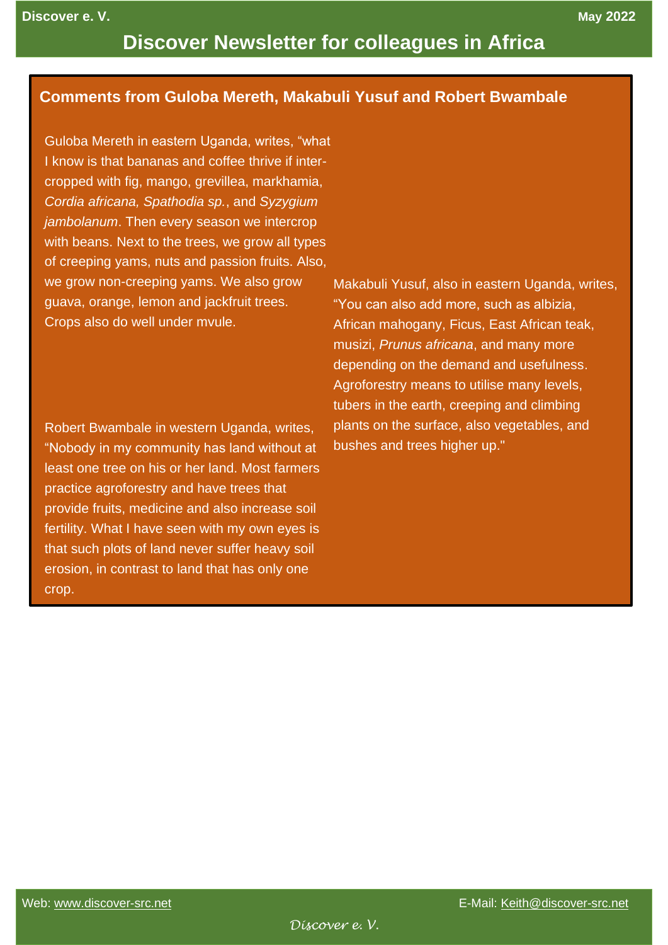## **Discover Newsletter for colleagues in Africa**

### **Comments from Guloba Mereth, Makabuli Yusuf and Robert Bwambale**

Guloba Mereth in eastern Uganda, writes, "what I know is that bananas and coffee thrive if intercropped with fig, mango, grevillea, markhamia, *Cordia africana, Spathodia sp.*, and *Syzygium jambolanum*. Then every season we intercrop with beans. Next to the trees, we grow all types of creeping yams, nuts and passion fruits. Also, we grow non-creeping yams. We also grow guava, orange, lemon and jackfruit trees. Crops also do well under mvule.

Robert Bwambale in western Uganda, writes, "Nobody in my community has land without at least one tree on his or her land. Most farmers practice agroforestry and have trees that provide fruits, medicine and also increase soil fertility. What I have seen with my own eyes is that such plots of land never suffer heavy soil erosion, in contrast to land that has only one crop.

Makabuli Yusuf, also in eastern Uganda, writes, "You can also add more, such as albizia, African mahogany, Ficus, East African teak, musizi, *Prunus africana*, and many more depending on the demand and usefulness. Agroforestry means to utilise many levels, tubers in the earth, creeping and climbing plants on the surface, also vegetables, and bushes and trees higher up."